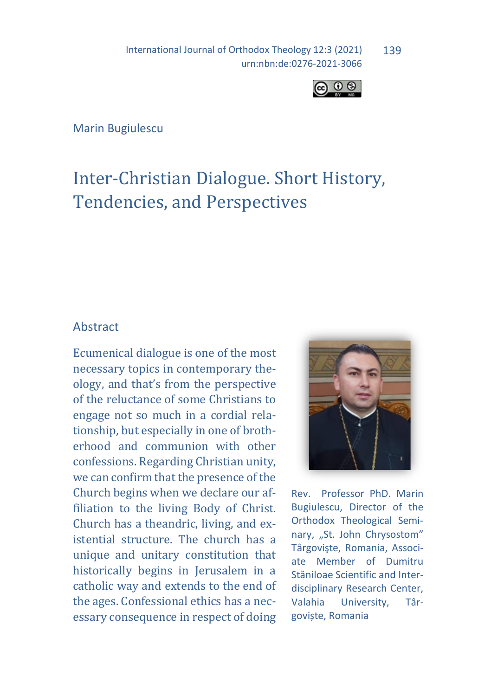International Journal of Orthodox Theology 12:3 (2021) urn:nbn:de:0276-2021-3066 139



Marin Bugiulescu

# Inter-Christian Dialogue. Short History, Tendencies, and Perspectives

### Abstract

Ecumenical dialogue is one of the most necessary topics in contemporary theology, and that's from the perspective of the reluctance of some Christians to engage not so much in a cordial relationship, but especially in one of brotherhood and communion with other confessions. Regarding Christian unity, we can confirm that the presence of the Church begins when we declare our affiliation to the living Body of Christ. Church has a theandric, living, and existential structure. The church has a unique and unitary constitution that historically begins in Jerusalem in a catholic way and extends to the end of the ages. Confessional ethics has a necessary consequence in respect of doing



Rev. Professor PhD. Marin Bugiulescu, Director of the Orthodox Theological Seminary, "St. John Chrysostom" Târgovişte, Romania, Associate Member of Dumitru Stăniloae Scientific and Interdisciplinary Research Center, Valahia University, Târgoviște, Romania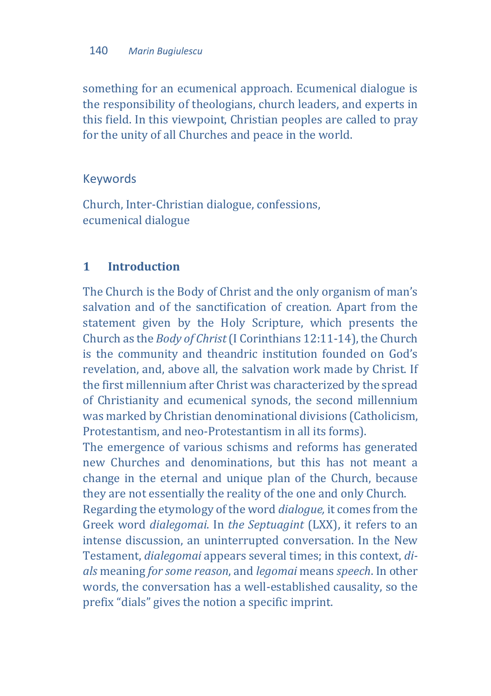something for an ecumenical approach. Ecumenical dialogue is the responsibility of theologians, church leaders, and experts in this field. In this viewpoint, Christian peoples are called to pray for the unity of all Churches and peace in the world.

## Keywords

Church, Inter-Christian dialogue, confessions, ecumenical dialogue

## **1 Introduction**

The Church is the Body of Christ and the only organism of man's salvation and of the sanctification of creation. Apart from the statement given by the Holy Scripture, which presents the Church as the *Body of Christ* (I Corinthians 12:11-14), the Church is the community and theandric institution founded on God's revelation, and, above all, the salvation work made by Christ. If the first millennium after Christ was characterized by the spread of Christianity and ecumenical synods, the second millennium was marked by Christian denominational divisions (Catholicism, Protestantism, and neo-Protestantism in all its forms).

The emergence of various schisms and reforms has generated new Churches and denominations, but this has not meant a change in the eternal and unique plan of the Church, because they are not essentially the reality of the one and only Church.

Regarding the etymology of the word *dialogue,* it comes from the Greek word *dialegomai*. In *the Septuagint* (LXX), it refers to an intense discussion, an uninterrupted conversation. In the New Testament, *dialegomai* appears several times; in this context, *dials* meaning *for some reason*, and *legomai* means *speech*. In other words, the conversation has a well-established causality, so the prefix "dials" gives the notion a specific imprint.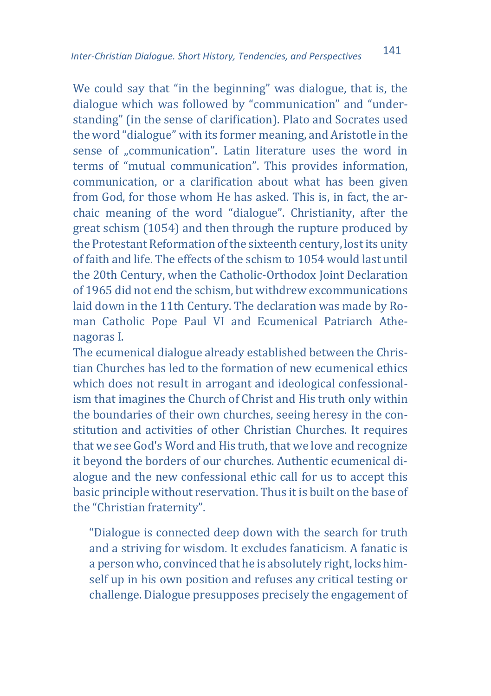We could say that "in the beginning" was dialogue, that is, the dialogue which was followed by "communication" and "understanding" (in the sense of clarification). Plato and Socrates used the word "dialogue" with its former meaning, and Aristotle in the sense of "communication". Latin literature uses the word in terms of "mutual communication". This provides information, communication, or a clarification about what has been given from God, for those whom He has asked. This is, in fact, the archaic meaning of the word "dialogue". Christianity, after the great schism (1054) and then through the rupture produced by the Protestant Reformation of the sixteenth century, lost its unity of faith and life. The effects of the schism to 1054 would last until the 20th Century, when the Catholic-Orthodox Joint Declaration of 1965 did not end the schism, but withdrew excommunications laid down in the 11th Century. The declaration was made by Roman Catholic Pope Paul VI and Ecumenical Patriarch Athenagoras I.

The ecumenical dialogue already established between the Christian Churches has led to the formation of new ecumenical ethics which does not result in arrogant and ideological confessionalism that imagines the Church of Christ and His truth only within the boundaries of their own churches, seeing heresy in the constitution and activities of other Christian Churches. It requires that we see God's Word and His truth, that we love and recognize it beyond the borders of our churches. Authentic ecumenical dialogue and the new confessional ethic call for us to accept this basic principle without reservation. Thus it is built on the base of the "Christian fraternity".

"Dialogue is connected deep down with the search for truth and a striving for wisdom. It excludes fanaticism. A fanatic is a person who, convinced that he is absolutely right, locks himself up in his own position and refuses any critical testing or challenge. Dialogue presupposes precisely the engagement of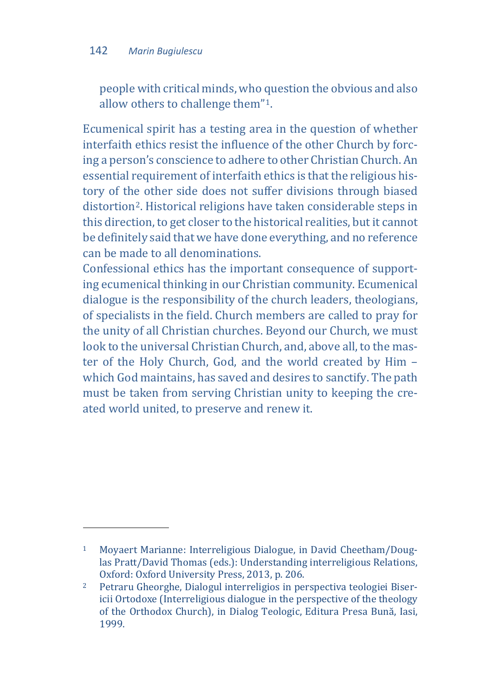people with critical minds, who question the obvious and also allow others to challenge them"[1](#page-3-0).

Ecumenical spirit has a testing area in the question of whether interfaith ethics resist the influence of the other Church by forcing a person's conscience to adhere to other Christian Church. An essential requirement of interfaith ethics is that the religious history of the other side does not suffer divisions through biased distortion[2.](#page-3-1) Historical religions have taken considerable steps in this direction, to get closer to the historical realities, but it cannot be definitely said that we have done everything, and no reference can be made to all denominations.

Confessional ethics has the important consequence of supporting ecumenical thinking in our Christian community. Ecumenical dialogue is the responsibility of the church leaders, theologians, of specialists in the field. Church members are called to pray for the unity of all Christian churches. Beyond our Church, we must look to the universal Christian Church, and, above all, to the master of the Holy Church, God, and the world created by Him – which God maintains, has saved and desires to sanctify. The path must be taken from serving Christian unity to keeping the created world united, to preserve and renew it.

<span id="page-3-0"></span><sup>1</sup> Moyaert Marianne: Interreligious Dialogue, in David Cheetham/Douglas Pratt/David Thomas (eds.): Understanding interreligious Relations, Oxford: Oxford University Press, 2013, p. 206.

<span id="page-3-1"></span><sup>2</sup> Petraru Gheorghe, Dialogul interreligios in perspectiva teologiei Bisericii Ortodoxe (Interreligious dialogue in the perspective of the theology of the Orthodox Church), in Dialog Teologic, Editura Presa Bună, Iasi, 1999.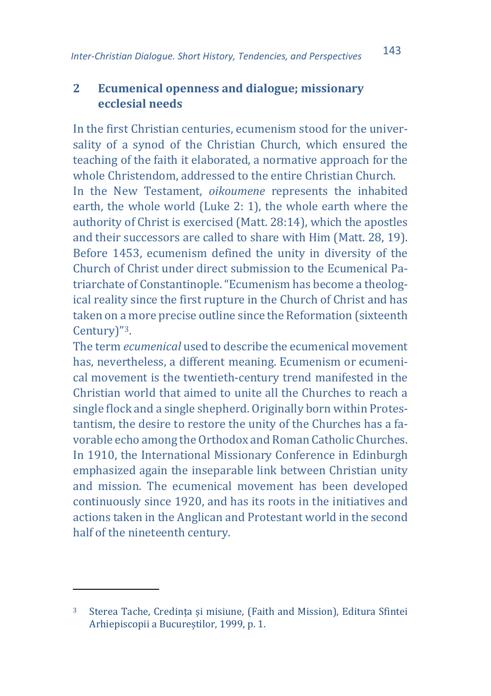## **2 Ecumenical openness and dialogue; missionary ecclesial needs**

In the first Christian centuries, ecumenism stood for the universality of a synod of the Christian Church, which ensured the teaching of the faith it elaborated, a normative approach for the whole Christendom, addressed to the entire Christian Church.

In the New Testament, *oikoumene* represents the inhabited earth, the whole world (Luke 2: 1), the whole earth where the authority of Christ is exercised (Matt. 28:14), which the apostles and their successors are called to share with Him (Matt. 28, 19). Before 1453, ecumenism defined the unity in diversity of the Church of Christ under direct submission to the Ecumenical Patriarchate of Constantinople. "Ecumenism has become a theological reality since the first rupture in the Church of Christ and has taken on a more precise outline since the Reformation (sixteenth Century)"[3.](#page-4-0)

The term *ecumenical* used to describe the ecumenical movement has, nevertheless, a different meaning. Ecumenism or ecumenical movement is the twentieth-century trend manifested in the Christian world that aimed to unite all the Churches to reach a single flock and a single shepherd. Originally born within Protestantism, the desire to restore the unity of the Churches has a favorable echo among the Orthodox and Roman Catholic Churches. In 1910, the International Missionary Conference in Edinburgh emphasized again the inseparable link between Christian unity and mission. The ecumenical movement has been developed continuously since 1920, and has its roots in the initiatives and actions taken in the Anglican and Protestant world in the second half of the nineteenth century.

<span id="page-4-0"></span><sup>3</sup> Sterea Tache, Credința și misiune, (Faith and Mission), Editura Sfintei Arhiepiscopii a Bucureștilor, 1999, p. 1.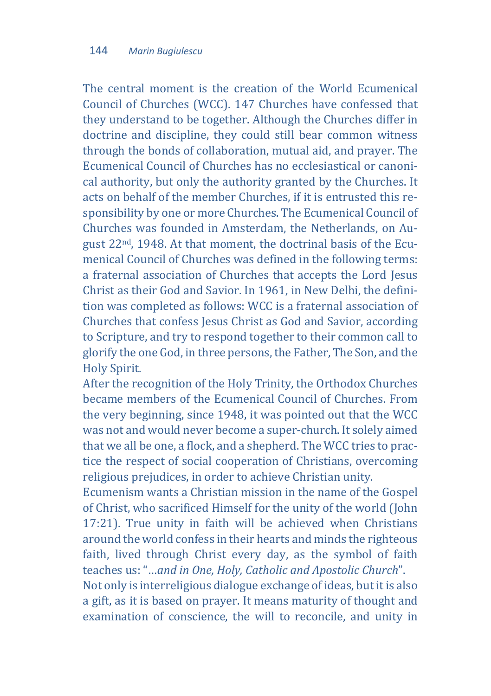The central moment is the creation of the World Ecumenical Council of Churches (WCC). 147 Churches have confessed that they understand to be together. Although the Churches differ in doctrine and discipline, they could still bear common witness through the bonds of collaboration, mutual aid, and prayer. The Ecumenical Council of Churches has no ecclesiastical or canonical authority, but only the authority granted by the Churches. It acts on behalf of the member Churches, if it is entrusted this responsibility by one or more Churches. The Ecumenical Council of Churches was founded in Amsterdam, the Netherlands, on August 22nd, 1948. At that moment, the doctrinal basis of the Ecumenical Council of Churches was defined in the following terms: a fraternal association of Churches that accepts the Lord Jesus Christ as their God and Savior. In 1961, in New Delhi, the definition was completed as follows: WCC is a fraternal association of Churches that confess Jesus Christ as God and Savior, according to Scripture, and try to respond together to their common call to glorify the one God, in three persons, the Father, The Son, and the Holy Spirit.

After the recognition of the Holy Trinity, the Orthodox Churches became members of the Ecumenical Council of Churches. From the very beginning, since 1948, it was pointed out that the WCC was not and would never become a super-church. It solely aimed that we all be one, a flock, and a shepherd. The WCC tries to practice the respect of social cooperation of Christians, overcoming religious prejudices, in order to achieve Christian unity.

Ecumenism wants a Christian mission in the name of the Gospel of Christ, who sacrificed Himself for the unity of the world (John 17:21). True unity in faith will be achieved when Christians around the world confess in their hearts and minds the righteous faith, lived through Christ every day, as the symbol of faith teaches us: "…*and in One, Holy, Catholic and Apostolic Church*".

Not only is interreligious dialogue exchange of ideas, but it is also a gift, as it is based on prayer. It means maturity of thought and examination of conscience, the will to reconcile, and unity in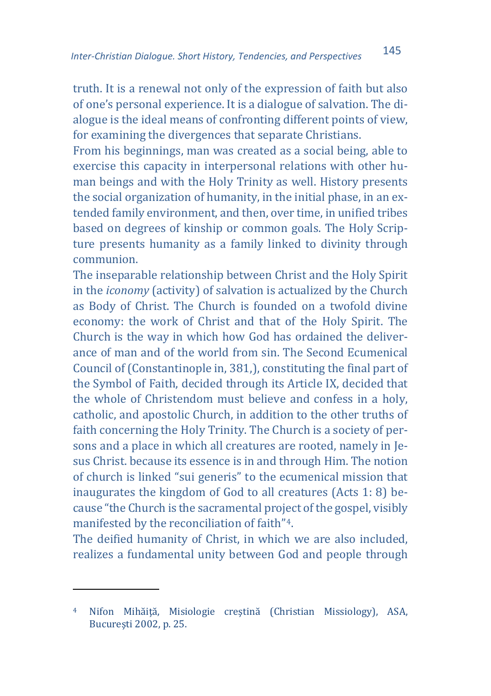truth. It is a renewal not only of the expression of faith but also of one's personal experience. It is a dialogue of salvation. The dialogue is the ideal means of confronting different points of view, for examining the divergences that separate Christians.

From his beginnings, man was created as a social being, able to exercise this capacity in interpersonal relations with other human beings and with the Holy Trinity as well. History presents the social organization of humanity, in the initial phase, in an extended family environment, and then, over time, in unified tribes based on degrees of kinship or common goals. The Holy Scripture presents humanity as a family linked to divinity through communion.

The inseparable relationship between Christ and the Holy Spirit in the *iconomy* (activity) of salvation is actualized by the Church as Body of Christ. The Church is founded on a twofold divine economy: the work of Christ and that of the Holy Spirit. The Church is the way in which how God has ordained the deliverance of man and of the world from sin. The Second Ecumenical Council of (Constantinople in, 381,), constituting the final part of the Symbol of Faith, decided through its Article IX, decided that the whole of Christendom must believe and confess in a holy, catholic, and apostolic Church, in addition to the other truths of faith concerning the Holy Trinity. The Church is a society of persons and a place in which all creatures are rooted, namely in Jesus Christ. because its essence is in and through Him. The notion of church is linked "sui generis" to the ecumenical mission that inaugurates the kingdom of God to all creatures (Acts 1: 8) because "the Church is the sacramental project of the gospel, visibly manifested by the reconciliation of faith"[4.](#page-6-0)

The deified humanity of Christ, in which we are also included, realizes a fundamental unity between God and people through

<span id="page-6-0"></span><sup>4</sup> Nifon Mihăiţă, Misiologie creştină (Christian Missiology), ASA, Bucureşti 2002, p. 25.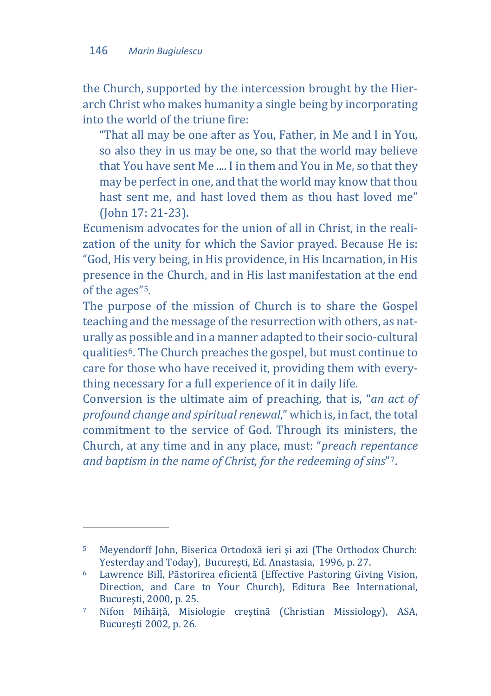the Church, supported by the intercession brought by the Hierarch Christ who makes humanity a single being by incorporating into the world of the triune fire:

"That all may be one after as You, Father, in Me and I in You, so also they in us may be one, so that the world may believe that You have sent Me .... I in them and You in Me, so that they may be perfect in one, and that the world may know that thou hast sent me, and hast loved them as thou hast loved me" (John 17: 21-23).

Ecumenism advocates for the union of all in Christ, in the realization of the unity for which the Savior prayed. Because He is: "God, His very being, in His providence, in His Incarnation, in His presence in the Church, and in His last manifestation at the end of the ages"[5.](#page-7-0)

The purpose of the mission of Church is to share the Gospel teaching and the message of the resurrection with others, as naturally as possible and in a manner adapted to their socio-cultural qualities[6.](#page-7-1) The Church preaches the gospel, but must continue to care for those who have received it, providing them with everything necessary for a full experience of it in daily life.

Conversion is the ultimate aim of preaching, that is, "*an act of profound change and spiritual renewal*," which is, in fact, the total commitment to the service of God. Through its ministers, the Church, at any time and in any place, must: "*preach repentance and baptism in the name of Christ, for the redeeming of sins*"[7.](#page-7-2)

<span id="page-7-0"></span><sup>5</sup> Meyendorff John, Biserica Ortodoxă ieri şi azi (The Orthodox Church: Yesterday and Today), Bucureşti, Ed. Anastasia, 1996, p. 27.

<span id="page-7-1"></span><sup>6</sup> Lawrence Bill, Păstorirea eficientă (Effective Pastoring Giving Vision, Direction, and Care to Your Church), Editura Bee International, Bucureşti, 2000, p. 25.

<span id="page-7-2"></span><sup>7</sup> Nifon Mihăiţă, Misiologie creştină (Christian Missiology), ASA, Bucureşti 2002, p. 26.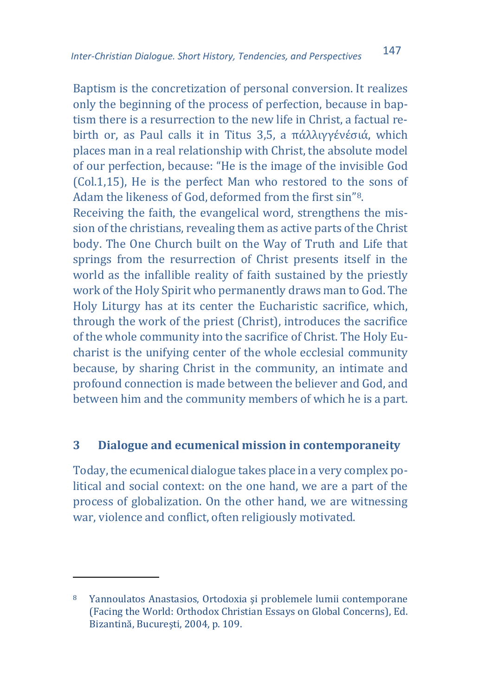Baptism is the concretization of personal conversion. It realizes only the beginning of the process of perfection, because in baptism there is a resurrection to the new life in Christ, a factual rebirth or, as Paul calls it in Titus 3,5, a πάλλιγγένέσιά, which places man in a real relationship with Christ, the absolute model of our perfection, because: "He is the image of the invisible God (Col.1,15), He is the perfect Man who restored to the sons of Adam the likeness of God, deformed from the first sin"[8](#page-8-0).

Receiving the faith, the evangelical word, strengthens the mission of the christians, revealing them as active parts of the Christ body. The One Church built on the Way of Truth and Life that springs from the resurrection of Christ presents itself in the world as the infallible reality of faith sustained by the priestly work of the Holy Spirit who permanently draws man to God. The Holy Liturgy has at its center the Eucharistic sacrifice, which, through the work of the priest (Christ), introduces the sacrifice of the whole community into the sacrifice of Christ. The Holy Eucharist is the unifying center of the whole ecclesial community because, by sharing Christ in the community, an intimate and profound connection is made between the believer and God, and between him and the community members of which he is a part.

#### **3 Dialogue and ecumenical mission in contemporaneity**

Today, the ecumenical dialogue takes place in a very complex political and social context: on the one hand, we are a part of the process of globalization. On the other hand, we are witnessing war, violence and conflict, often religiously motivated.

<span id="page-8-0"></span><sup>8</sup> Yannoulatos Anastasios, Ortodoxia şi problemele lumii contemporane (Facing the World: Orthodox Christian Essays on Global Concerns), Ed. Bizantină, Bucureşti, 2004, p. 109.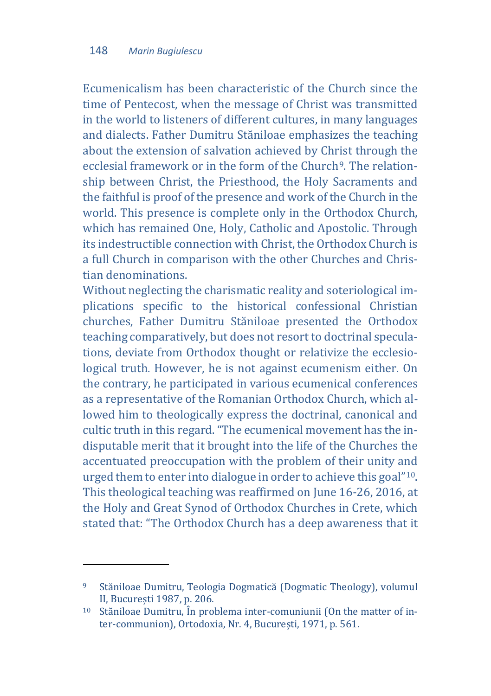Ecumenicalism has been characteristic of the Church since the time of Pentecost, when the message of Christ was transmitted in the world to listeners of different cultures, in many languages and dialects. Father Dumitru Stăniloae emphasizes the teaching about the extension of salvation achieved by Christ through the ecclesial framework or in the form of the Church<sup>[9](#page-9-0)</sup>. The relationship between Christ, the Priesthood, the Holy Sacraments and the faithful is proof of the presence and work of the Church in the world. This presence is complete only in the Orthodox Church, which has remained One, Holy, Catholic and Apostolic. Through its indestructible connection with Christ, the Orthodox Church is a full Church in comparison with the other Churches and Christian denominations.

Without neglecting the charismatic reality and soteriological implications specific to the historical confessional Christian churches, Father Dumitru Stăniloae presented the Orthodox teaching comparatively, but does not resort to doctrinal speculations, deviate from Orthodox thought or relativize the ecclesiological truth. However, he is not against ecumenism either. On the contrary, he participated in various ecumenical conferences as a representative of the Romanian Orthodox Church, which allowed him to theologically express the doctrinal, canonical and cultic truth in this regard. "The ecumenical movement has the indisputable merit that it brought into the life of the Churches the accentuated preoccupation with the problem of their unity and urged them to enter into dialogue in order to achieve this goal["10](#page-9-1). This theological teaching was reaffirmed on June 16-26, 2016, at the Holy and Great Synod of Orthodox Churches in Crete, which stated that: "The Orthodox Church has a deep awareness that it

<span id="page-9-0"></span><sup>9</sup> Stăniloae Dumitru, Teologia Dogmatică (Dogmatic Theology), volumul II, București 1987, p. 206.

<span id="page-9-1"></span><sup>10</sup> Stăniloae Dumitru, În problema inter-comuniunii (On the matter of inter-communion), Ortodoxia, Nr. 4, București, 1971, p. 561.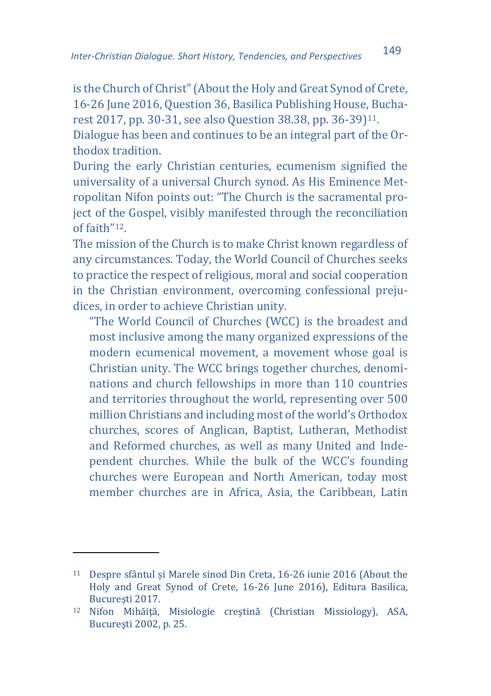is the Church of Christ" (About the Holy and Great Synod of Crete, 16-26 June 2016, Question 36, Basilica Publishing House, Bucharest 2017, pp. 30-31, see also Question 38.38, pp. 36-39)[11](#page-10-0).

Dialogue has been and continues to be an integral part of the Orthodox tradition.

During the early Christian centuries, ecumenism signified the universality of a universal Church synod. As His Eminence Metropolitan Nifon points out: "The Church is the sacramental project of the Gospel, visibly manifested through the reconciliation of faith"[12](#page-10-1).

The mission of the Church is to make Christ known regardless of any circumstances. Today, the World Council of Churches seeks to practice the respect of religious, moral and social cooperation in the Christian environment, overcoming confessional prejudices, in order to achieve Christian unity.

"The World Council of Churches (WCC) is the broadest and most inclusive among the many organized expressions of the modern ecumenical movement, a movement whose goal is Christian unity. The WCC brings together churches, denominations and church fellowships in more than 110 countries and territories throughout the world, representing over 500 million Christians and including most of the world's Orthodox churches, scores of Anglican, Baptist, Lutheran, Methodist and Reformed churches, as well as many United and Independent churches. While the bulk of the WCC's founding churches were European and North American, today most member churches are in Africa, Asia, the Caribbean, Latin

<span id="page-10-0"></span><sup>11</sup> Despre sfântul și Marele sinod Din Creta, 16-26 iunie 2016 (About the Holy and Great Synod of Crete, 16-26 June 2016), Editura Basilica, Bucureşti 2017.

<span id="page-10-1"></span><sup>12</sup> Nifon Mihăiţă, Misiologie creştină (Christian Missiology), ASA, Bucureşti 2002, p. 25.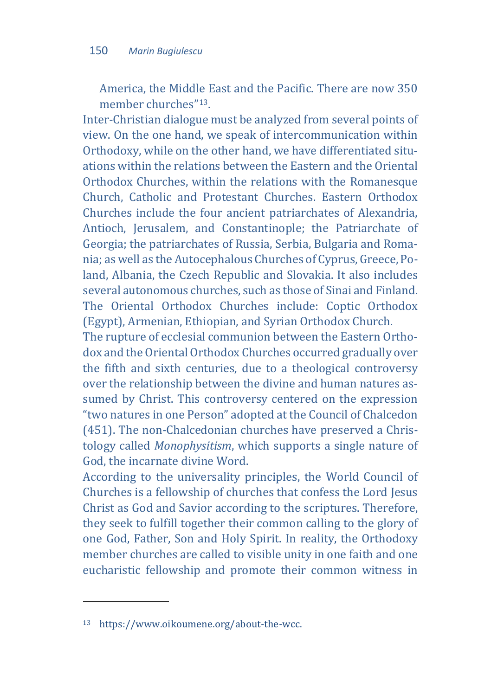America, the Middle East and the Pacific. There are now 350 member churches"[13.](#page-11-0)

Inter-Christian dialogue must be analyzed from several points of view. On the one hand, we speak of intercommunication within Orthodoxy, while on the other hand, we have differentiated situations within the relations between the Eastern and the Oriental Orthodox Churches, within the relations with the Romanesque Church, Catholic and Protestant Churches. Eastern Orthodox Churches include the four ancient patriarchates of Alexandria, Antioch, Jerusalem, and Constantinople; the Patriarchate of Georgia; the patriarchates of Russia, Serbia, Bulgaria and Romania; as well as the Autocephalous Churches of Cyprus, Greece, Poland, Albania, the Czech Republic and Slovakia. It also includes several autonomous churches, such as those of Sinai and Finland. The Oriental Orthodox Churches include: Coptic Orthodox (Egypt), Armenian, Ethiopian, and Syrian Orthodox Church.

The rupture of ecclesial communion between the Eastern Orthodox and the Oriental Orthodox Churches occurred gradually over the fifth and sixth centuries, due to a theological controversy over the relationship between the divine and human natures assumed by Christ. This controversy centered on the expression "two natures in one Person" adopted at the Council of Chalcedon (451). The non-Chalcedonian churches have preserved a Christology called *Monophysitism*, which supports a single nature of God, the incarnate divine Word.

According to the universality principles, the World Council of Churches is a fellowship of churches that confess the Lord Jesus Christ as God and Savior according to the scriptures. Therefore, they seek to fulfill together their common calling to the glory of one God, Father, Son and Holy Spirit. In reality, the Orthodoxy member churches are called to visible unity in one faith and one eucharistic fellowship and promote their common witness in

l

<span id="page-11-0"></span><sup>13</sup> https://www.oikoumene.org/about-the-wcc.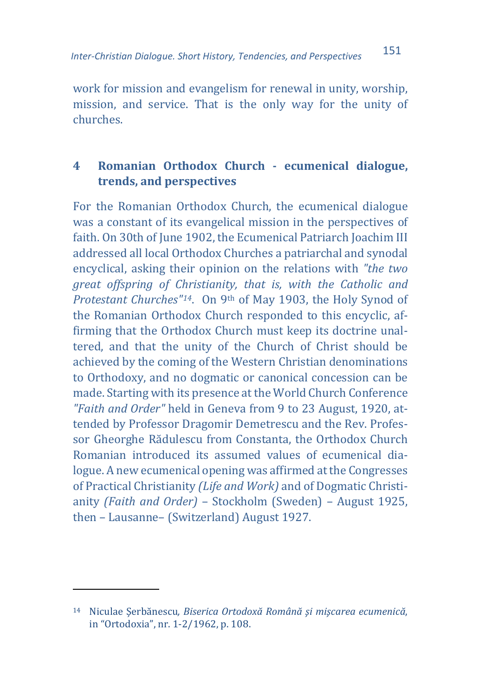work for mission and evangelism for renewal in unity, worship, mission, and service. That is the only way for the unity of churches.

## **4 Romanian Orthodox Church - ecumenical dialogue, trends, and perspectives**

For the Romanian Orthodox Church, the ecumenical dialogue was a constant of its evangelical mission in the perspectives of faith. On 30th of June 1902, the Ecumenical Patriarch Joachim III addressed all local Orthodox Churches a patriarchal and synodal encyclical, asking their opinion on the relations with *"the two great offspring of Christianity, that is, with the Catholic and Protestant Churches"[14](#page-12-0)*. On 9th of May 1903, the Holy Synod of the Romanian Orthodox Church responded to this encyclic, affirming that the Orthodox Church must keep its doctrine unaltered, and that the unity of the Church of Christ should be achieved by the coming of the Western Christian denominations to Orthodoxy, and no dogmatic or canonical concession can be made. Starting with its presence at the World Church Conference *"Faith and Order"* held in Geneva from 9 to 23 August, 1920, attended by Professor Dragomir Demetrescu and the Rev. Professor Gheorghe Rădulescu from Constanta, the Orthodox Church Romanian introduced its assumed values of ecumenical dialogue. A new ecumenical opening was affirmed at the Congresses of Practical Christianity *(Life and Work)* and of Dogmatic Christianity *(Faith and Order)* – Stockholm (Sweden) – August 1925, then – Lausanne– (Switzerland) August 1927.

<span id="page-12-0"></span><sup>14</sup> Niculae Şerbănescu*, Biserica Ortodoxă Română şi mişcarea ecumenică*, in "Ortodoxia", nr. 1-2/1962, p. 108.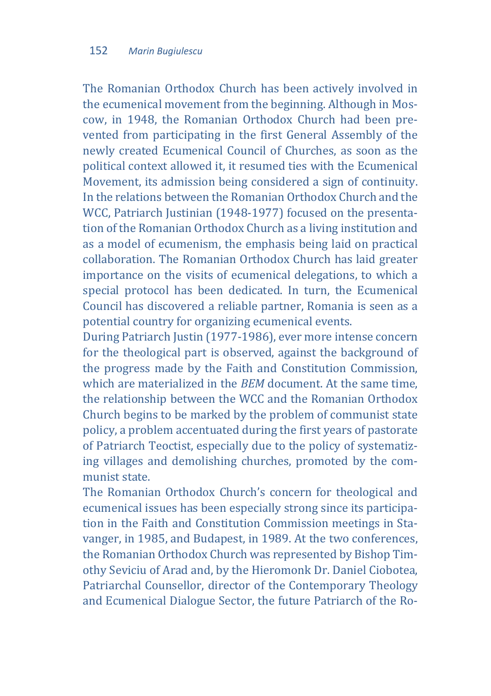The Romanian Orthodox Church has been actively involved in the ecumenical movement from the beginning. Although in Moscow, in 1948, the Romanian Orthodox Church had been prevented from participating in the first General Assembly of the newly created Ecumenical Council of Churches, as soon as the political context allowed it, it resumed ties with the Ecumenical Movement, its admission being considered a sign of continuity. In the relations between the Romanian Orthodox Church and the WCC, Patriarch Justinian (1948-1977) focused on the presentation of the Romanian Orthodox Church as a living institution and as a model of ecumenism, the emphasis being laid on practical collaboration. The Romanian Orthodox Church has laid greater importance on the visits of ecumenical delegations, to which a special protocol has been dedicated. In turn, the Ecumenical Council has discovered a reliable partner, Romania is seen as a potential country for organizing ecumenical events.

During Patriarch Justin (1977-1986), ever more intense concern for the theological part is observed, against the background of the progress made by the Faith and Constitution Commission, which are materialized in the *BEM* document. At the same time, the relationship between the WCC and the Romanian Orthodox Church begins to be marked by the problem of communist state policy, a problem accentuated during the first years of pastorate of Patriarch Teoctist, especially due to the policy of systematizing villages and demolishing churches, promoted by the communist state.

The Romanian Orthodox Church's concern for theological and ecumenical issues has been especially strong since its participation in the Faith and Constitution Commission meetings in Stavanger, in 1985, and Budapest, in 1989. At the two conferences, the Romanian Orthodox Church was represented by Bishop Timothy Seviciu of Arad and, by the Hieromonk Dr. Daniel Ciobotea, Patriarchal Counsellor, director of the Contemporary Theology and Ecumenical Dialogue Sector, the future Patriarch of the Ro-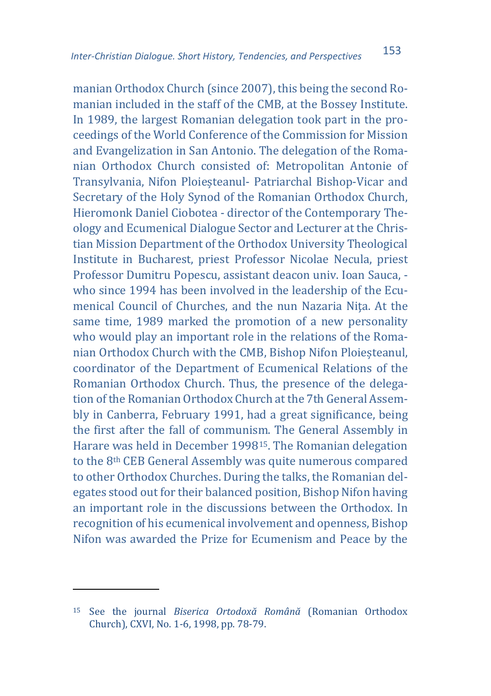manian Orthodox Church (since 2007), this being the second Romanian included in the staff of the CMB, at the Bossey Institute. In 1989, the largest Romanian delegation took part in the proceedings of the World Conference of the Commission for Mission and Evangelization in San Antonio. The delegation of the Romanian Orthodox Church consisted of: Metropolitan Antonie of Transylvania, Nifon Ploieșteanul- Patriarchal Bishop-Vicar and Secretary of the Holy Synod of the Romanian Orthodox Church, Hieromonk Daniel Ciobotea - director of the Contemporary Theology and Ecumenical Dialogue Sector and Lecturer at the Christian Mission Department of the Orthodox University Theological Institute in Bucharest, priest Professor Nicolae Necula, priest Professor Dumitru Popescu, assistant deacon univ. Ioan Sauca, who since 1994 has been involved in the leadership of the Ecumenical Council of Churches, and the nun Nazaria Niţa. At the same time, 1989 marked the promotion of a new personality who would play an important role in the relations of the Romanian Orthodox Church with the CMB, Bishop Nifon Ploieșteanul, coordinator of the Department of Ecumenical Relations of the Romanian Orthodox Church. Thus, the presence of the delegation of the Romanian Orthodox Church at the 7th General Assembly in Canberra, February 1991, had a great significance, being the first after the fall of communism. The General Assembly in Harare was held in December 1998[15](#page-14-0). The Romanian delegation to the 8th CEB General Assembly was quite numerous compared to other Orthodox Churches. During the talks, the Romanian delegates stood out for their balanced position, Bishop Nifon having an important role in the discussions between the Orthodox. In recognition of his ecumenical involvement and openness, Bishop Nifon was awarded the Prize for Ecumenism and Peace by the

<span id="page-14-0"></span><sup>15</sup> See the journal *Biserica Ortodoxă Română* (Romanian Orthodox Church), CXVI, No. 1-6, 1998, pp. 78-79.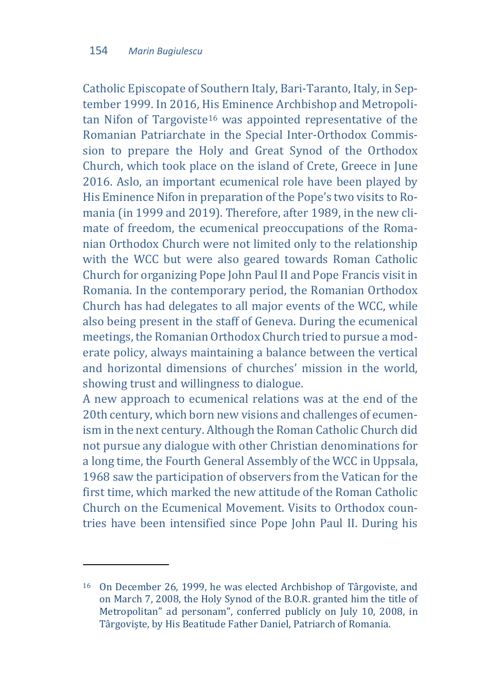Catholic Episcopate of Southern Italy, Bari-Taranto, Italy, in September 1999. In 2016, His Eminence Archbishop and Metropoli $tan$  Nifon of Targoviste<sup>16</sup> was appointed representative of the Romanian Patriarchate in the Special Inter-Orthodox Commission to prepare the Holy and Great Synod of the Orthodox Church, which took place on the island of Crete, Greece in June 2016. Aslo, an important ecumenical role have been played by His Eminence Nifon in preparation of the Pope's two visits to Romania (in 1999 and 2019). Therefore, after 1989, in the new climate of freedom, the ecumenical preoccupations of the Romanian Orthodox Church were not limited only to the relationship with the WCC but were also geared towards Roman Catholic Church for organizing Pope John Paul II and Pope Francis visit in Romania. In the contemporary period, the Romanian Orthodox Church has had delegates to all major events of the WCC, while also being present in the staff of Geneva. During the ecumenical meetings, the Romanian Orthodox Church tried to pursue a moderate policy, always maintaining a balance between the vertical and horizontal dimensions of churches' mission in the world, showing trust and willingness to dialogue.

A new approach to ecumenical relations was at the end of the 20th century, which born new visions and challenges of ecumenism in the next century. Although the Roman Catholic Church did not pursue any dialogue with other Christian denominations for a long time, the Fourth General Assembly of the WCC in Uppsala, 1968 saw the participation of observers from the Vatican for the first time, which marked the new attitude of the Roman Catholic Church on the Ecumenical Movement. Visits to Orthodox countries have been intensified since Pope John Paul II. During his

<span id="page-15-0"></span><sup>16</sup> On December 26, 1999, he was elected Archbishop of Târgoviste, and on March 7, 2008, the Holy Synod of the B.O.R. granted him the title of Metropolitan" ad personam", conferred publicly on July 10, 2008, in Târgovişte, by His Beatitude Father Daniel, Patriarch of Romania.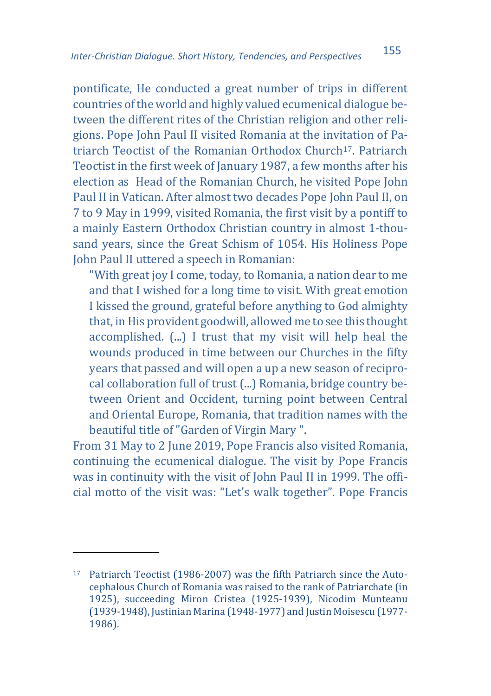pontificate, He conducted a great number of trips in different countries of the world and highly valued ecumenical dialogue between the different rites of the Christian religion and other religions. Pope John Paul II visited Romania at the invitation of Patriarch Teoctist of the Romanian Orthodox Church[17](#page-16-0). Patriarch Teoctist in the first week of January 1987, a few months after his election as Head of the Romanian Church, he visited Pope John Paul II in Vatican. After almost two decades Pope John Paul II, on 7 to 9 May in 1999, visited Romania, the first visit by a pontiff to a mainly Eastern Orthodox Christian country in almost 1-thousand years, since the Great Schism of 1054. His Holiness Pope John Paul II uttered a speech in Romanian:

"With great joy I come, today, to Romania, a nation dear to me and that I wished for a long time to visit. With great emotion I kissed the ground, grateful before anything to God almighty that, in His provident goodwill, allowed me to see this thought accomplished. (...) I trust that my visit will help heal the wounds produced in time between our Churches in the fifty years that passed and will open a up a new season of reciprocal collaboration full of trust (...) Romania, bridge country between Orient and Occident, turning point between Central and Oriental Europe, Romania, that tradition names with the beautiful title of "Garden of Virgin Mary ".

From 31 May to 2 June 2019, Pope Francis also visited Romania, continuing the ecumenical dialogue. The visit by Pope Francis was in continuity with the visit of John Paul II in 1999. The official motto of the visit was: "Let's walk together". Pope Francis

<span id="page-16-0"></span><sup>17</sup> Patriarch Teoctist (1986-2007) was the fifth Patriarch since the Autocephalous Church of Romania was raised to the rank of Patriarchate (in 1925), succeeding Miron Cristea (1925-1939), Nicodim Munteanu (1939-1948), Justinian Marina (1948-1977) and Justin Moisescu (1977- 1986).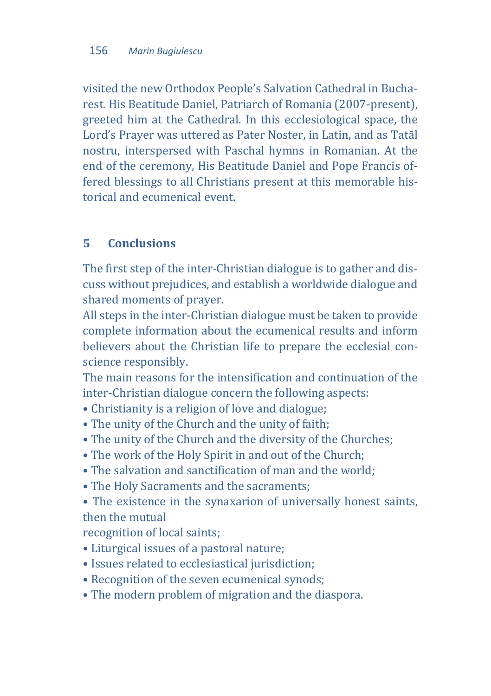visited the new Orthodox People's Salvation Cathedral in Bucharest. His Beatitude Daniel, Patriarch of Romania (2007-present), greeted him at the Cathedral. In this ecclesiological space, the Lord's Prayer was uttered as Pater Noster, in Latin, and as Tatăl nostru, interspersed with Paschal hymns in Romanian. At the end of the ceremony, His Beatitude Daniel and Pope Francis offered blessings to all Christians present at this memorable historical and ecumenical event.

## **5 Conclusions**

The first step of the inter-Christian dialogue is to gather and discuss without prejudices, and establish a worldwide dialogue and shared moments of prayer.

All steps in the inter-Christian dialogue must be taken to provide complete information about the ecumenical results and inform believers about the Christian life to prepare the ecclesial conscience responsibly.

The main reasons for the intensification and continuation of the inter-Christian dialogue concern the following aspects:

- Christianity is a religion of love and dialogue;
- The unity of the Church and the unity of faith;
- The unity of the Church and the diversity of the Churches;
- The work of the Holy Spirit in and out of the Church;
- The salvation and sanctification of man and the world;
- The Holy Sacraments and the sacraments;
- The existence in the synaxarion of universally honest saints, then the mutual

recognition of local saints;

- Liturgical issues of a pastoral nature;
- Issues related to ecclesiastical jurisdiction;
- Recognition of the seven ecumenical synods;
- The modern problem of migration and the diaspora.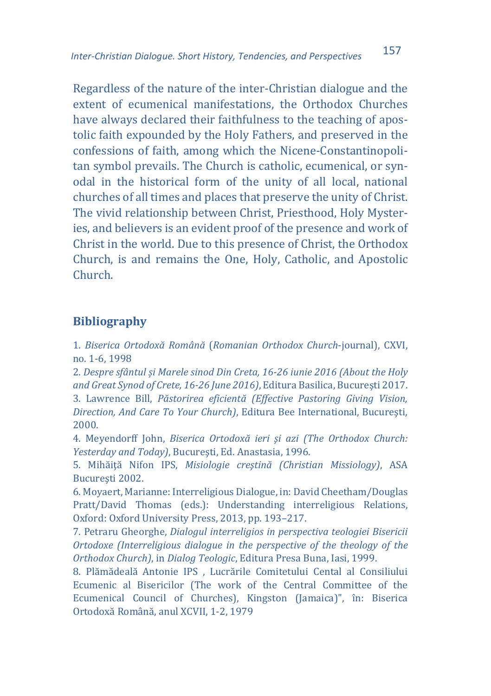Regardless of the nature of the inter-Christian dialogue and the extent of ecumenical manifestations, the Orthodox Churches have always declared their faithfulness to the teaching of apostolic faith expounded by the Holy Fathers, and preserved in the confessions of faith, among which the Nicene-Constantinopolitan symbol prevails. The Church is catholic, ecumenical, or synodal in the historical form of the unity of all local, national churches of all times and places that preserve the unity of Christ. The vivid relationship between Christ, Priesthood, Holy Mysteries, and believers is an evident proof of the presence and work of Christ in the world. Due to this presence of Christ, the Orthodox Church, is and remains the One, Holy, Catholic, and Apostolic Church.

#### **Bibliography**

1. *Biserica Ortodoxă Română* (*Romanian Orthodox Church*-journal), CXVI, no. 1-6, 1998

2. *Despre sfântul și Marele sinod Din Creta, 16-26 iunie 2016 (About the Holy and Great Synod of Crete, 16-26 June 2016)*, Editura Basilica, Bucureşti 2017. 3. Lawrence Bill, *Păstorirea eficientă (Effective Pastoring Giving Vision, Direction, And Care To Your Church)*, Editura Bee International, Bucureşti, 2000.

4. Meyendorff John, *Biserica Ortodoxă ieri şi azi (The Orthodox Church: Yesterday and Today)*, Bucureşti, Ed. Anastasia, 1996.

5. Mihăiţă Nifon IPS, *Misiologie creştină (Christian Missiology)*, ASA Bucureşti 2002.

6. Moyaert, Marianne: Interreligious Dialogue, in: David Cheetham/Douglas Pratt/David Thomas (eds.): Understanding interreligious Relations, Oxford: Oxford University Press, 2013, pp. 193–217.

7. Petraru Gheorghe, *Dialogul interreligios in perspectiva teologiei Bisericii Ortodoxe (Interreligious dialogue in the perspective of the theology of the Orthodox Church)*, in *Dialog Teologic*, Editura Presa Buna, Iasi, 1999.

8. Plămădeală Antonie IPS , Lucrările Comitetului Cental al Consiliului Ecumenic al Bisericilor (The work of the Central Committee of the Ecumenical Council of Churches), Kingston (Jamaica)", în: Biserica Ortodoxă Română, anul XCVII, 1-2, 1979